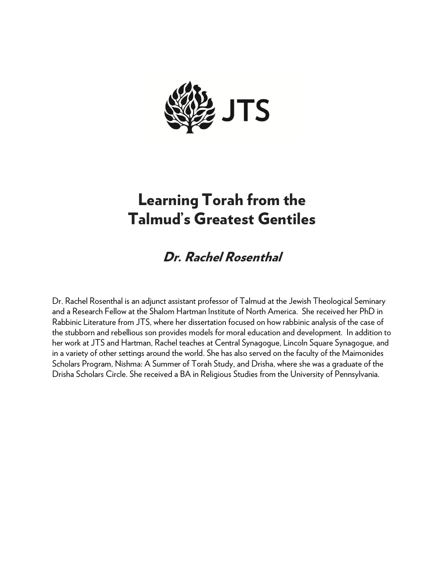

## Learning Torah from the Talmud' s Greatest Gentiles

## Dr. Rachel Rosenthal

Dr. Rachel Rosenthal is an adjunct assistant professor of Talmud at the Jewish Theological Seminary and a Research Fellow at the Shalom Hartman Institute of North America. She received her PhD in Rabbinic Literature from JTS, where her dissertation focused on how rabbinic analysis of the case of the stubborn and rebellious son provides models for moral education and development. In addition to her work at JTS and Hartman, Rachel teaches at Central Synagogue, Lincoln Square Synagogue, and in a variety of other settings around the world. She has also served on the faculty of the Maimonides Scholars Program, Nishma: A Summer of Torah Study, and Drisha, where she was a graduate of the Drisha Scholars Circle. She received a BA in Religious Studies from the University of Pennsylvania.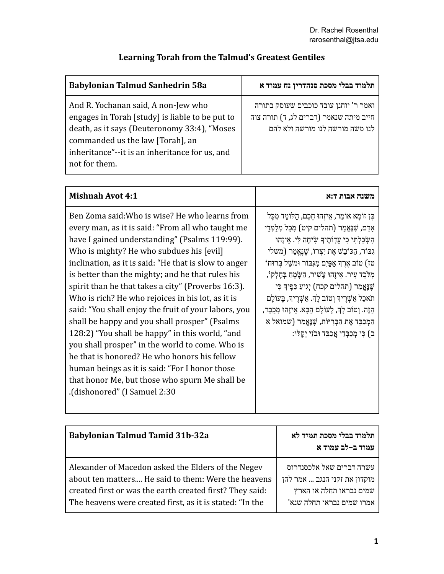| Learning Torah from the Talmud's Greatest Gentiles |  |
|----------------------------------------------------|--|
|----------------------------------------------------|--|

| <b>Babylonian Talmud Sanhedrin 58a</b>                                                                                                                                                                                                        | תלמוד בבלי מסכת סנהדרין נח עמוד א                                                                                  |
|-----------------------------------------------------------------------------------------------------------------------------------------------------------------------------------------------------------------------------------------------|--------------------------------------------------------------------------------------------------------------------|
| And R. Yochanan said, A non-Jew who<br>engages in Torah [study] is liable to be put to<br>death, as it says (Deuteronomy 33:4), "Moses<br>commanded us the law [Torah], an<br>inheritance"--it is an inheritance for us, and<br>not for them. | ואמר ר' יוחנן עובד כוכבים שעוסק בתורה<br>חייב מיתה שנאמר (דברים לג, ד) תורה צוה<br>לנו משה מורשה לנו מורשה ולא להם |

| <b>Mishnah Avot 4:1</b>                                                                                                                                                                                                                                                                                                                                                                                                                                                                                                                                                                                                                                                                                                                                                                                                    | משנה אבות ד:א                                                                                                                                                                                                                                                                                                                                                                                                                                                                                                                                                                                                         |
|----------------------------------------------------------------------------------------------------------------------------------------------------------------------------------------------------------------------------------------------------------------------------------------------------------------------------------------------------------------------------------------------------------------------------------------------------------------------------------------------------------------------------------------------------------------------------------------------------------------------------------------------------------------------------------------------------------------------------------------------------------------------------------------------------------------------------|-----------------------------------------------------------------------------------------------------------------------------------------------------------------------------------------------------------------------------------------------------------------------------------------------------------------------------------------------------------------------------------------------------------------------------------------------------------------------------------------------------------------------------------------------------------------------------------------------------------------------|
| Ben Zoma said: Who is wise? He who learns from<br>every man, as it is said: "From all who taught me<br>have I gained understanding" (Psalms 119:99).<br>Who is mighty? He who subdues his [evil]<br>inclination, as it is said: "He that is slow to anger<br>is better than the mighty; and he that rules his<br>spirit than he that takes a city" (Proverbs 16:3).<br>Who is rich? He who rejoices in his lot, as it is<br>said: "You shall enjoy the fruit of your labors, you<br>shall be happy and you shall prosper" (Psalms<br>128:2) "You shall be happy" in this world, "and<br>you shall prosper" in the world to come. Who is<br>he that is honored? He who honors his fellow<br>human beings as it is said: "For I honor those<br>that honor Me, but those who spurn Me shall be<br>(dishonored" (I Samuel 2:30 | ּבֶּן זוֹמָא אוֹמֵר, אֵיזֶהוּ חָכָם, הַלוֹמֵד מִכָּל<br>אַדַם, שַׁנֵּאֲמַר (תהלים קיט) מִכַּל מְלַמְּדַי<br>הִשְׂכַלְתִּי כִּי עֲדָוֹתֵיךָ שִׂיחַה לִּי. אֵיזֵהוּ<br>גִבּוֹר, הַכּוֹבֵשׁ אֶת יִצְרוֹ, שֶׁנֶאֱמַר (משלי<br>טז) טוֹב אֶרֶךְ אַפַּיִם מִגְבּוֹר וּמשֵׁל בְּרוּחוֹ<br>מִלֹּכֵד עִיר. אֵיזֶהוּ עֲשִׁיר, הַשָּׂמֵחַ בְּחֶלְקוֹ,<br>ֹשֶׁנֶאֱמַר (תהלים קכח) יְגִיעַ כַּפֶּיךָ כִּי<br>תֹאכֵל אַשְׁרֵיךְ וְטוֹב לָךְ. אַשְׁרֵיךְ, בָּעוֹלָם<br>הַזֶּה. וְטוֹב לָךְ, לָעוֹלָם הַבָּא. אֵיזֶהוּ מְכֻבָּד,<br>הַמְכַבֵּד אֶת הַבְּרִיּוֹת, שֶׁנֶאֱמַר (שמואל א<br>ּב) כִּי מְכַבְּדַי אֲכַבֵּד וּבֹזַי יֵקְלּוּ: |

| <b>Babylonian Talmud Tamid 31b-32a</b>                                                                                                                                | תלמוד בבלי מסכת תמיד לא<br>עמוד ב-לב עמוד א                                         |
|-----------------------------------------------------------------------------------------------------------------------------------------------------------------------|-------------------------------------------------------------------------------------|
| Alexander of Macedon asked the Elders of the Negev<br>about ten matters He said to them: Were the heavens<br>created first or was the earth created first? They said: | עשרה דברים שאל אלכסנדרוס<br>מוקדון את זקני הנגב  אמר להן<br>שמים נבראו תחלה או הארץ |
| The heavens were created first, as it is stated: "In the                                                                                                              | אמרו שמים נבראו תחלה שנא'                                                           |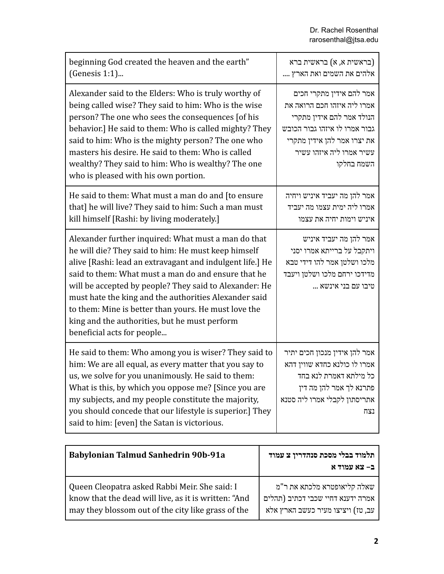| beginning God created the heaven and the earth"<br>(Genesis 1:1)                                                                                                                                                                                                                                                                                                                                                                                                                         | (בראשית א, א) בראשית ברא<br>אלהים את השמים ואת הארץ                                                                                                                                            |
|------------------------------------------------------------------------------------------------------------------------------------------------------------------------------------------------------------------------------------------------------------------------------------------------------------------------------------------------------------------------------------------------------------------------------------------------------------------------------------------|------------------------------------------------------------------------------------------------------------------------------------------------------------------------------------------------|
| Alexander said to the Elders: Who is truly worthy of<br>being called wise? They said to him: Who is the wise<br>person? The one who sees the consequences [of his<br>behavior.] He said to them: Who is called mighty? They<br>said to him: Who is the mighty person? The one who<br>masters his desire. He said to them: Who is called<br>wealthy? They said to him: Who is wealthy? The one<br>who is pleased with his own portion.                                                    | אמר להם אידין מתקרי חכים<br>אמרו ליה איזהו חכם הרואה את<br>הנולד אמר להם אידין מתקרי<br>גבור אמרו לו איזהו גבור הכובש<br>את יצרו אמר להן אידין מתקרי<br>עשיר אמרו ליה איזהו עשיר<br>השמח בחלקו |
| He said to them: What must a man do and [to ensure]<br>that] he will live? They said to him: Such a man must<br>kill himself [Rashi: by living moderately.]                                                                                                                                                                                                                                                                                                                              | אמר להן מה יעביד איניש ויחיה<br>אמרו ליה ימית עצמו מה יעביד<br>איניש וימות יחיה את עצמו                                                                                                        |
| Alexander further inquired: What must a man do that<br>he will die? They said to him: He must keep himself<br>alive [Rashi: lead an extravagant and indulgent life.] He<br>said to them: What must a man do and ensure that he<br>will be accepted by people? They said to Alexander: He<br>must hate the king and the authorities Alexander said<br>to them: Mine is better than yours. He must love the<br>king and the authorities, but he must perform<br>beneficial acts for people | אמר להן מה יעביד איניש<br>ויתקבל על ברייתא אמרו יסני<br>מלכו ושלטן אמר להו דידי טבא<br>מדידכו ירחם מלכו ושלטן ויעבד<br>מיבו עם בני אינשא                                                       |
| He said to them: Who among you is wiser? They said to<br>him: We are all equal, as every matter that you say to<br>us, we solve for you unanimously. He said to them:<br>What is this, by which you oppose me? [Since you are<br>my subjects, and my people constitute the majority,<br>you should concede that our lifestyle is superior.] They<br>said to him: [even] the Satan is victorious.                                                                                         | אמר להן אידין מנכון חכים יתיר<br>אמרו לו כולנא כחדא שווין דהא<br>כל מילתא דאמרת לנא בחד<br>פתרנא לך אמר להן מה דין<br>אתריסתון לקבלי אמרו ליה סטנא<br>נצח                                      |

| Babylonian Talmud Sanhedrin 90b-91a                  | תלמוד בבלי מסכת סנהדרין צ עמוד<br>ב– צא עמוד א |
|------------------------------------------------------|------------------------------------------------|
| Queen Cleopatra asked Rabbi Meir. She said: I        | שאלה קליאופטרא מלכתא את ר"מ                    |
| know that the dead will live, as it is written: "And | אמרה ידענא דחיי שכבי דכתיב (תהלים              |
| may they blossom out of the city like grass of the   | עב, טז) ויציצו מעיר כעשב הארץ אלא              |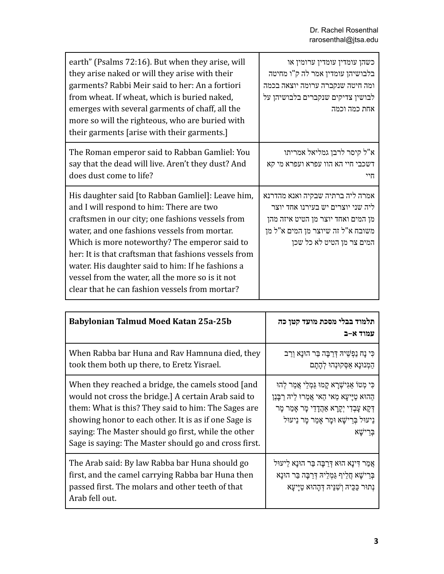| earth" (Psalms 72:16). But when they arise, will<br>they arise naked or will they arise with their<br>garments? Rabbi Meir said to her: An a fortiori<br>from wheat. If wheat, which is buried naked,<br>emerges with several garments of chaff, all the<br>more so will the righteous, who are buried with<br>their garments [arise with their garments.]                                                                                                            | כשהן עומדין עומדין ערומין או<br>בלבושיהן עומדין אמר לה ק"ו מחיטה<br>ומה חיטה שנקברה ערומה יוצאה בכמה<br>לבושיהן צדיקים שנקברים בלבושיהן על<br>אחת כמה וכמה                    |
|-----------------------------------------------------------------------------------------------------------------------------------------------------------------------------------------------------------------------------------------------------------------------------------------------------------------------------------------------------------------------------------------------------------------------------------------------------------------------|-------------------------------------------------------------------------------------------------------------------------------------------------------------------------------|
| The Roman emperor said to Rabban Gamliel: You<br>say that the dead will live. Aren't they dust? And<br>does dust come to life?                                                                                                                                                                                                                                                                                                                                        | א"ל קיסר לרבן גמליאל אמריתו<br>דשכבי חיי הא הוו עפרא ועפרא מי קא<br>חיי                                                                                                       |
| His daughter said [to Rabban Gamliel]: Leave him,<br>and I will respond to him: There are two<br>craftsmen in our city; one fashions vessels from<br>water, and one fashions vessels from mortar.<br>Which is more noteworthy? The emperor said to<br>her: It is that craftsman that fashions vessels from<br>water. His daughter said to him: If he fashions a<br>vessel from the water, all the more so is it not<br>clear that he can fashion vessels from mortar? | אמרה ליה ברתיה שבקיה ואנא מהדרנא<br>ליה שני יוצרים יש בעירנו אחד יוצר<br>מן המים ואחד יוצר מן הטיט איזה מהן<br>משובה א"ל זה שיוצר מן המים א"ל מן<br>המים צר מן הטיט לא כל שכן |

| Babylonian Talmud Moed Katan 25a-25b                                                                                                                                                                                                                                                                                                    | תלמוד בבלי מסכת מועד קטן כה<br>עמוד א-ב                                                                                                                                                                               |
|-----------------------------------------------------------------------------------------------------------------------------------------------------------------------------------------------------------------------------------------------------------------------------------------------------------------------------------------|-----------------------------------------------------------------------------------------------------------------------------------------------------------------------------------------------------------------------|
| When Rabba bar Huna and Rav Hamnuna died, they<br>took them both up there, to Eretz Yisrael.                                                                                                                                                                                                                                            | כִּי נָח נַפְשֵׁיהּ דְרַבָּה בַּר הוּנָא וְרַב<br>הַמְנוּנַא אַסְקוּנְהוּ לְהָתָם                                                                                                                                     |
| When they reached a bridge, the camels stood [and<br>would not cross the bridge.] A certain Arab said to<br>them: What is this? They said to him: The Sages are<br>showing honor to each other. It is as if one Sage is<br>saying: The Master should go first, while the other<br>Sage is saying: The Master should go and cross first. | כִּי מְטוֹ אֲגִישָׁרָא קָמוּ גַּמְלֵי אֲמַר לְהוּ<br>הַהוּא טַיַּיעָא מַאי הַאי אֲמַרוּ לֵיהּ רַבָּנַן<br>ַדְּקָא עָבְדִי יְקָרָא אַהֲדָדֵי מָר אָמַר מָר<br>נֵיעוּל בְּרֵישָׁא וּמַר אַמַר מַר נֵיעוּל<br>בִּרֵישֵׁא |
| The Arab said: By law Rabba bar Huna should go<br>first, and the camel carrying Rabba bar Huna then<br>passed first. The molars and other teeth of that<br>Arab fell out.                                                                                                                                                               | אֲמַר דִּינָא הוּא דְרַבָּה בַּר הוּנָא לֵיעוּל<br>בְּרֵישָׁא חֲלֵיף גַּמְלֵיהּ דְּרַבָּה בַּר הוּנָא<br>נְתוּר כַּכֵּיהּ וְשָׁנֵּיהּ דְהָהוּא טַיַּיעָא                                                              |